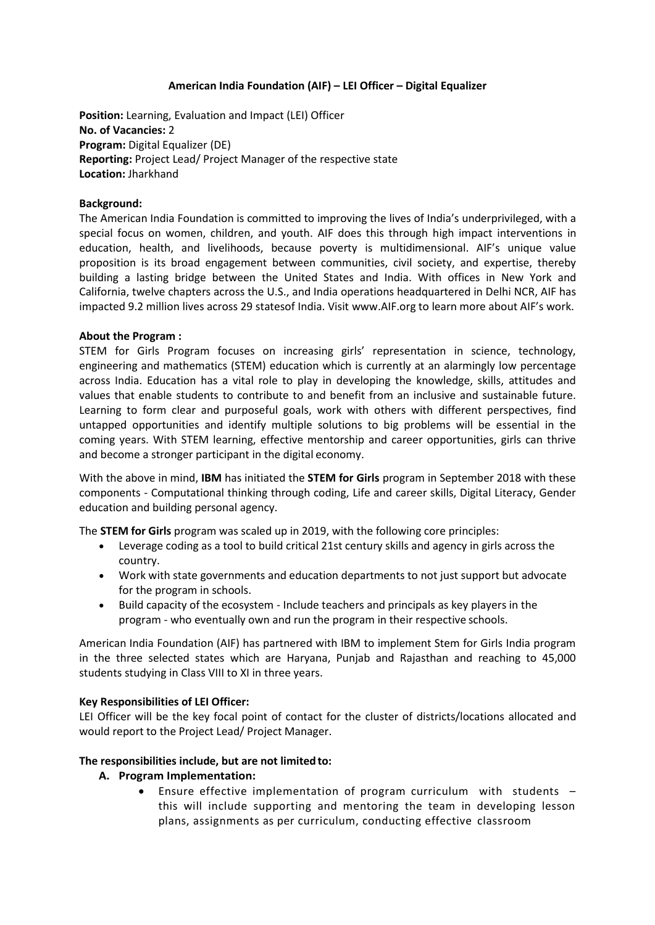### **American India Foundation (AIF) – LEI Officer – Digital Equalizer**

**Position:** Learning, Evaluation and Impact (LEI) Officer **No. of Vacancies:** 2 **Program:** Digital Equalizer (DE) **Reporting:** Project Lead/ Project Manager of the respective state **Location:** Jharkhand

### **Background:**

The American India Foundation is committed to improving the lives of India's underprivileged, with a special focus on women, children, and youth. AIF does this through high impact interventions in education, health, and livelihoods, because poverty is multidimensional. AIF's unique value proposition is its broad engagement between communities, civil society, and expertise, thereby building a lasting bridge between the United States and India. With offices in New York and California, twelve chapters across the U.S., and India operations headquartered in Delhi NCR, AIF has impacted 9.2 million lives across 29 statesof India. Visit [www.AIF.org](http://www.aif.org/) to learn more about AIF's work.

### **About the Program :**

STEM for Girls Program focuses on increasing girls' representation in science, technology, engineering and mathematics (STEM) education which is currently at an alarmingly low percentage across India. Education has a vital role to play in developing the knowledge, skills, attitudes and values that enable students to contribute to and benefit from an inclusive and sustainable future. Learning to form clear and purposeful goals, work with others with different perspectives, find untapped opportunities and identify multiple solutions to big problems will be essential in the coming years. With STEM learning, effective mentorship and career opportunities, girls can thrive and become a stronger participant in the digital economy.

With the above in mind, **IBM** has initiated the **STEM for Girls** program in September 2018 with these components - Computational thinking through coding, Life and career skills, Digital Literacy, Gender education and building personal agency.

The **STEM for Girls** program was scaled up in 2019, with the following core principles:

- Leverage coding as a tool to build critical 21st century skills and agency in girls across the country.
- Work with state governments and education departments to not just support but advocate for the program in schools.
- Build capacity of the ecosystem Include teachers and principals as key players in the program - who eventually own and run the program in their respective schools.

American India Foundation (AIF) has partnered with IBM to implement Stem for Girls India program in the three selected states which are Haryana, Punjab and Rajasthan and reaching to 45,000 students studying in Class VIII to XI in three years.

### **Key Responsibilities of LEI Officer:**

LEI Officer will be the key focal point of contact for the cluster of districts/locations allocated and would report to the Project Lead/ Project Manager.

### **The responsibilities include, but are not limitedto:**

- **A. Program Implementation:**
	- Ensure effective implementation of program curriculum with students this will include supporting and mentoring the team in developing lesson plans, assignments as per curriculum, conducting effective classroom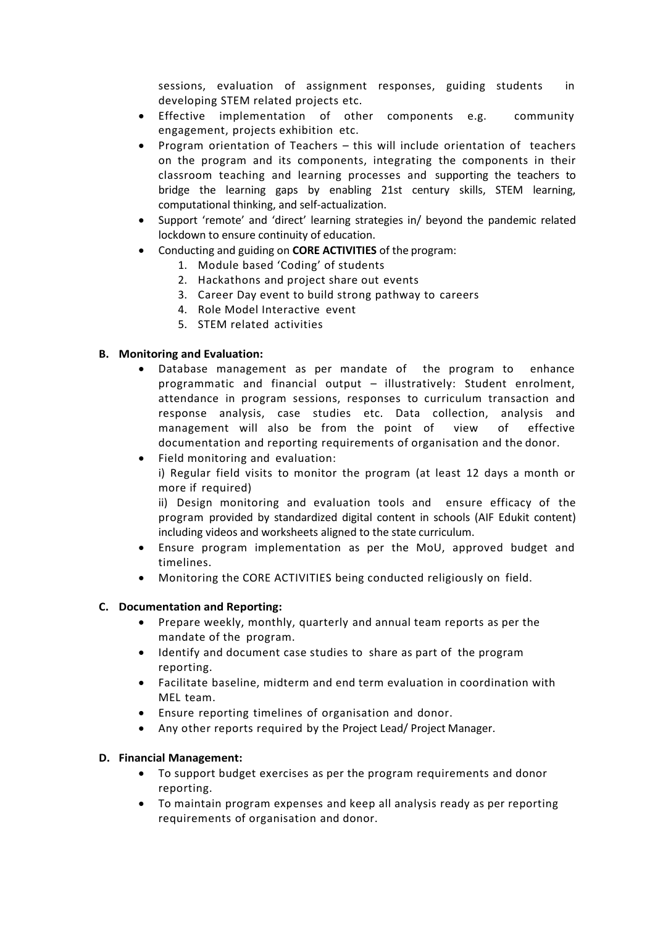sessions, evaluation of assignment responses, guiding students in developing STEM related projects etc.

- Effective implementation of other components e.g. community engagement, projects exhibition etc.
- Program orientation of Teachers this will include orientation of teachers on the program and its components, integrating the components in their classroom teaching and learning processes and supporting the teachers to bridge the learning gaps by enabling 21st century skills, STEM learning, computational thinking, and self-actualization.
- Support 'remote' and 'direct' learning strategies in/ beyond the pandemic related lockdown to ensure continuity of education.
- Conducting and guiding on **CORE ACTIVITIES** of the program:
	- 1. Module based 'Coding' of students
	- 2. Hackathons and project share out events
	- 3. Career Day event to build strong pathway to careers
	- 4. Role Model Interactive event
	- 5. STEM related activities

### **B. Monitoring and Evaluation:**

- Database management as per mandate of the program to enhance programmatic and financial output – illustratively: Student enrolment, attendance in program sessions, responses to curriculum transaction and response analysis, case studies etc. Data collection, analysis and management will also be from the point of view of effective documentation and reporting requirements of organisation and the donor.
- Field monitoring and evaluation:

i) Regular field visits to monitor the program (at least 12 days a month or more if required)

ii) Design monitoring and evaluation tools and ensure efficacy of the program provided by standardized digital content in schools (AIF Edukit content) including videos and worksheets aligned to the state curriculum.

- Ensure program implementation as per the MoU, approved budget and timelines.
- Monitoring the CORE ACTIVITIES being conducted religiously on field.

### **C. Documentation and Reporting:**

- Prepare weekly, monthly, quarterly and annual team reports as per the mandate of the program.
- Identify and document case studies to share as part of the program reporting.
- Facilitate baseline, midterm and end term evaluation in coordination with MEL team.
- Ensure reporting timelines of organisation and donor.
- Any other reports required by the Project Lead/ Project Manager.

### **D. Financial Management:**

- To support budget exercises as per the program requirements and donor reporting.
- To maintain program expenses and keep all analysis ready as per reporting requirements of organisation and donor.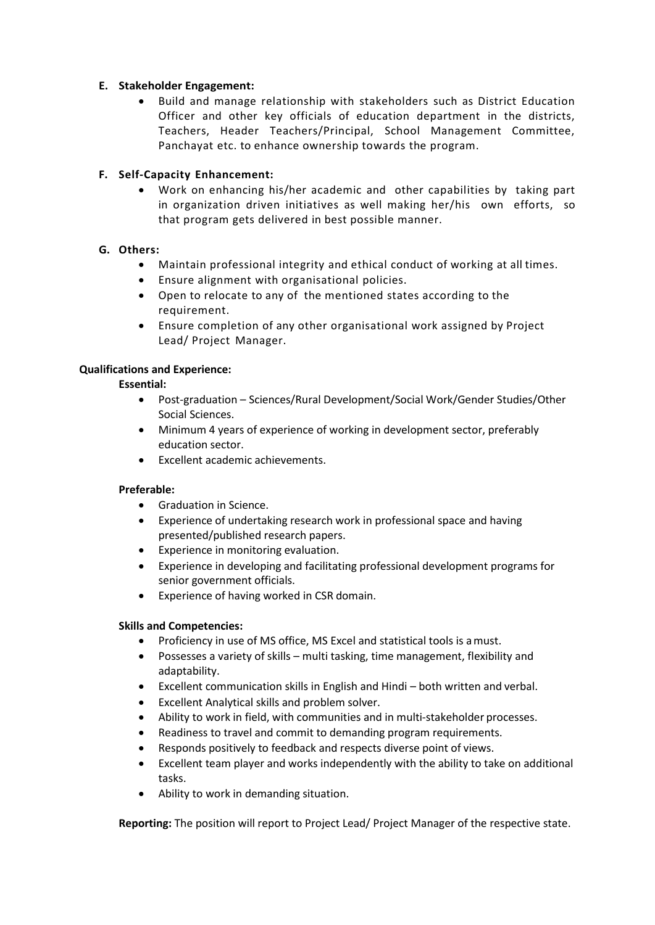# **E. Stakeholder Engagement:**

• Build and manage relationship with stakeholders such as District Education Officer and other key officials of education department in the districts, Teachers, Header Teachers/Principal, School Management Committee, Panchayat etc. to enhance ownership towards the program.

## **F. Self-Capacity Enhancement:**

• Work on enhancing his/her academic and other capabilities by taking part in organization driven initiatives as well making her/his own efforts, so that program gets delivered in best possible manner.

## **G. Others:**

- Maintain professional integrity and ethical conduct of working at all times.
- Ensure alignment with organisational policies.
- Open to relocate to any of the mentioned states according to the requirement.
- Ensure completion of any other organisational work assigned by Project Lead/ Project Manager.

## **Qualifications and Experience:**

### **Essential:**

- Post-graduation Sciences/Rural Development/Social Work/Gender Studies/Other Social Sciences.
- Minimum 4 years of experience of working in development sector, preferably education sector.
- Excellent academic achievements.

# **Preferable:**

- Graduation in Science.
- Experience of undertaking research work in professional space and having presented/published research papers.
- Experience in monitoring evaluation.
- Experience in developing and facilitating professional development programs for senior government officials.
- Experience of having worked in CSR domain.

### **Skills and Competencies:**

- Proficiency in use of MS office, MS Excel and statistical tools is amust.
- Possesses a variety of skills multi tasking, time management, flexibility and adaptability.
- Excellent communication skills in English and Hindi both written and verbal.
- Excellent Analytical skills and problem solver.
- Ability to work in field, with communities and in multi-stakeholder processes.
- Readiness to travel and commit to demanding program requirements.
- Responds positively to feedback and respects diverse point of views.
- Excellent team player and works independently with the ability to take on additional tasks.
- Ability to work in demanding situation.

**Reporting:** The position will report to Project Lead/ Project Manager of the respective state.